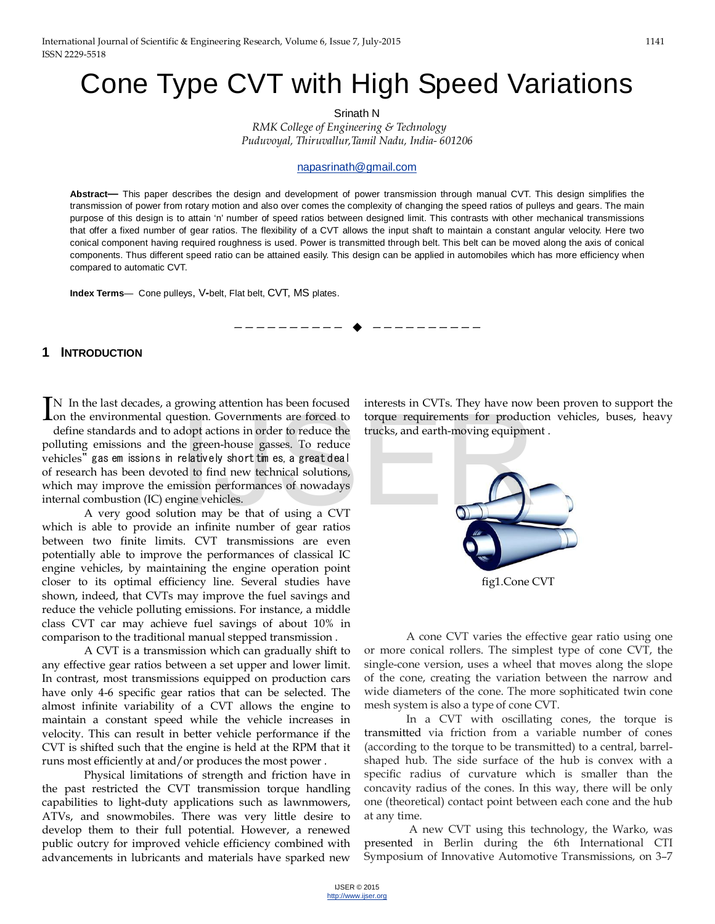# Cone Type CVT with High Speed Variations

Srinath N

*RMK College of Engineering & Technology Puduvoyal, Thiruvallur,Tamil Nadu, India- 601206* 

#### [napasrinath@gmail.com](mailto:napasrinath@gmail.com)

**Abstract—** This paper describes the design and development of power transmission through manual CVT. This design simplifies the transmission of power from rotary motion and also over comes the complexity of changing the speed ratios of pulleys and gears. The main purpose of this design is to attain 'n' number of speed ratios between designed limit. This contrasts with other mechanical transmissions that offer a fixed number of gear ratios. The flexibility of a CVT allows the input shaft to maintain a constant angular velocity. Here two conical component having required roughness is used. Power is transmitted through belt. This belt can be moved along the axis of conical components. Thus different speed ratio can be attained easily. This design can be applied in automobiles which has more efficiency when compared to automatic CVT.

—————————— ——————————

**Index Terms**— Cone pulleys, V*-*belt, Flat belt, CVT, MS plates.

#### **1 INTRODUCTION**

N In the last decades, a growing attention has been focused IN In the last decades, a growing attention has been focused<br>Ion the environmental question. Governments are forced to

define standards and to adopt actions in order to reduce the polluting emissions and the green-house gasses. To reduce vehicles" gas em issions in relatively short times, a great deal of research has been devoted to find new technical solutions, which may improve the emission performances of nowadays internal combustion (IC) engine vehicles. estion. Governments are forced to torque requirements for product<br>dopt actions in order to reduce the trucks, and earth-moving equipme<br>ne green-house gasses. To reduce<br>relatively short tim es, a great deal<br>ed to find new t

A very good solution may be that of using a CVT which is able to provide an infinite number of gear ratios between two finite limits. CVT transmissions are even potentially able to improve the performances of classical IC engine vehicles, by maintaining the engine operation point closer to its optimal efficiency line. Several studies have shown, indeed, that CVTs may improve the fuel savings and reduce the vehicle polluting emissions. For instance, a middle class CVT car may achieve fuel savings of about 10% in comparison to the traditional manual stepped transmission .

A CVT is a transmission which can gradually shift to any effective gear ratios between a set upper and lower limit. In contrast, most transmissions equipped on production cars have only 4-6 specific gear ratios that can be selected. The almost infinite variability of a CVT allows the engine to maintain a constant speed while the vehicle increases in velocity. This can result in better vehicle performance if the CVT is shifted such that the engine is held at the RPM that it runs most efficiently at and/or produces the most power .

Physical limitations of strength and friction have in the past restricted the CVT transmission torque handling capabilities to light-duty applications such as lawnmowers, ATVs, and snowmobiles. There was very little desire to develop them to their full potential. However, a renewed public outcry for improved vehicle efficiency combined with advancements in lubricants and materials have sparked new

interests in CVTs. They have now been proven to support the torque requirements for production vehicles, buses, heavy trucks, and earth-moving equipment .



or more conical rollers. The simplest type of cone CVT, the single-cone version, uses a wheel that moves along the slope of the cone, creating the variation between the narrow and wide diameters of the cone. The more sophiticated twin cone mesh system is also a type of cone CVT.

In a CVT with oscillating cones, the torque is transmitted via friction from a variable number of cones (according to the torque to be transmitted) to a central, barrelshaped hub. The side surface of the hub is convex with a specific radius of curvature which is smaller than the concavity radius of the cones. In this way, there will be only one (theoretical) contact point between each cone and the hub at any time.

 A new CVT using this technology, the Warko, was presented in Berlin during the 6th International CTI Symposium of Innovative Automotive Transmissions, on 3–7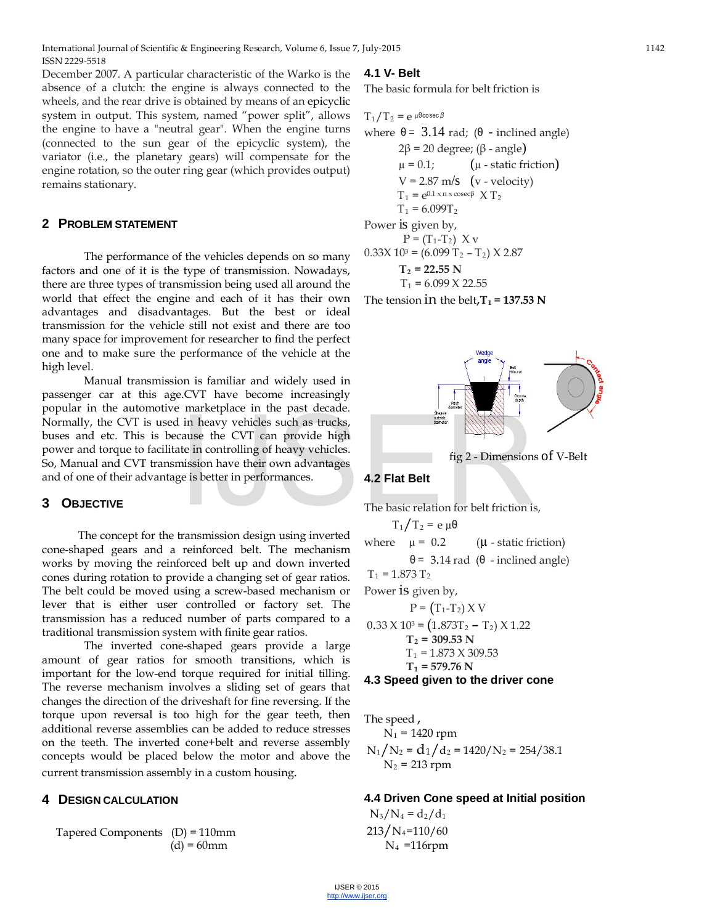December 2007. A particular characteristic of the Warko is the absence of a clutch: the engine is always connected to the wheels, and the rear drive is obtained by means of an epicyclic system in output. This system, named "power split", allows the engine to have a "neutral gear". When the engine turns (connected to the sun gear of the epicyclic system), the variator (i.e., the planetary gears) will compensate for the engine rotation, so the outer ring gear (which provides output) remains stationary.

#### **2 PROBLEM STATEMENT**

The performance of the vehicles depends on so many factors and one of it is the type of transmission. Nowadays, there are three types of transmission being used all around the world that effect the engine and each of it has their own advantages and disadvantages. But the best or ideal transmission for the vehicle still not exist and there are too many space for improvement for researcher to find the perfect one and to make sure the performance of the vehicle at the high level.

Manual transmission is familiar and widely used in passenger car at this age.CVT have become increasingly popular in the automotive marketplace in the past decade. Normally, the CVT is used in heavy vehicles such as trucks, buses and etc. This is because the CVT can provide high power and torque to facilitate in controlling of heavy vehicles. So, Manual and CVT transmission have their own advantages and of one of their advantage is better in performances. The basic relation for belt friction is<br>transmission decision with the property of the property of the controlling of heavy vehicles.<br>The basic relation for belt friction is<br>transmission decise using invariant of  $T_1/T_2 =$ 

## **3 OBJECTIVE**

 The concept for the transmission design using inverted cone-shaped gears and a reinforced belt. The mechanism works by moving the reinforced belt up and down inverted cones during rotation to provide a changing set of gear ratios. The belt could be moved using a screw-based mechanism or lever that is either user controlled or factory set. The transmission has a reduced number of parts compared to a traditional transmission system with finite gear ratios.

The inverted cone-shaped gears provide a large amount of gear ratios for smooth transitions, which is important for the low-end torque required for initial tilling. The reverse mechanism involves a sliding set of gears that changes the direction of the driveshaft for fine reversing. If the torque upon reversal is too high for the gear teeth, then additional reverse assemblies can be added to reduce stresses on the teeth. The inverted cone+belt and reverse assembly concepts would be placed below the motor and above the current transmission assembly in a custom housing.

## **4 DESIGN CALCULATION**

Tapered Components (D) = 110mm  $(d) = 60$ mm

## **4.1 V- Belt**

The basic formula for belt friction is

 $T_1/T_2 = e^{\mu \theta \cos{\theta} \cos{\theta}}$ where  $θ = 3.14$  rad;  $(θ - inclined$  angle) 2β = 20 degree; (β - angle)  $\mu$  = 0.1;  $(\mu$  - static friction)  $V = 2.87$  m/s (v - velocity)  $T_1 = e^{0.1 \times \pi \times \csc \beta} X T_2$  $T_1 = 6.099T_2$ Power is given by,  $P = (T_1 - T_2) X v$  $0.33X 10<sup>3</sup> = (6.099 T<sub>2</sub> - T<sub>2</sub>) X 2.87$  $T_2$  = 22.55 N  $T_1 = 6.099 \text{ X } 22.55$ 

The tension in the belt, $T_1$  = 137.53 N



fig 2 - Dimensions of V-Belt

#### **4.2 Flat Belt**

The basic relation for belt friction is,

$$
T_1/T_2 = e \mu \theta
$$
  
where  $μ = 0.2$  ( $μ$  - static friction)  
 $θ = 3.14$  rad ( $θ$  - inclined angle)  
 $T_1 = 1.873 T_2$   
Power is given by,  
 $P = (T_1 - T_2) X V$ 

$$
0.33 \times 10^3 = (1.873T_2 - T_2) \times 1.22
$$
  
\n
$$
T_2 = 309.53 \text{ N}
$$
  
\n
$$
T_1 = 1.873 \times 309.53
$$
  
\n
$$
T_1 = 579.76 \text{ N}
$$

**4.3 Speed given to the driver cone**

The speed ,

$$
N_1 = 1420
$$
 rpm  
\n $N_1/N_2 = d_1/d_2 = 1420/N_2 = 254/38.1$   
\n $N_2 = 213$  rpm

**4.4 Driven Cone speed at Initial position**

 $N_3/N_4 = d_2/d_1$  $213/N_4=110/60$ N4 =116rpm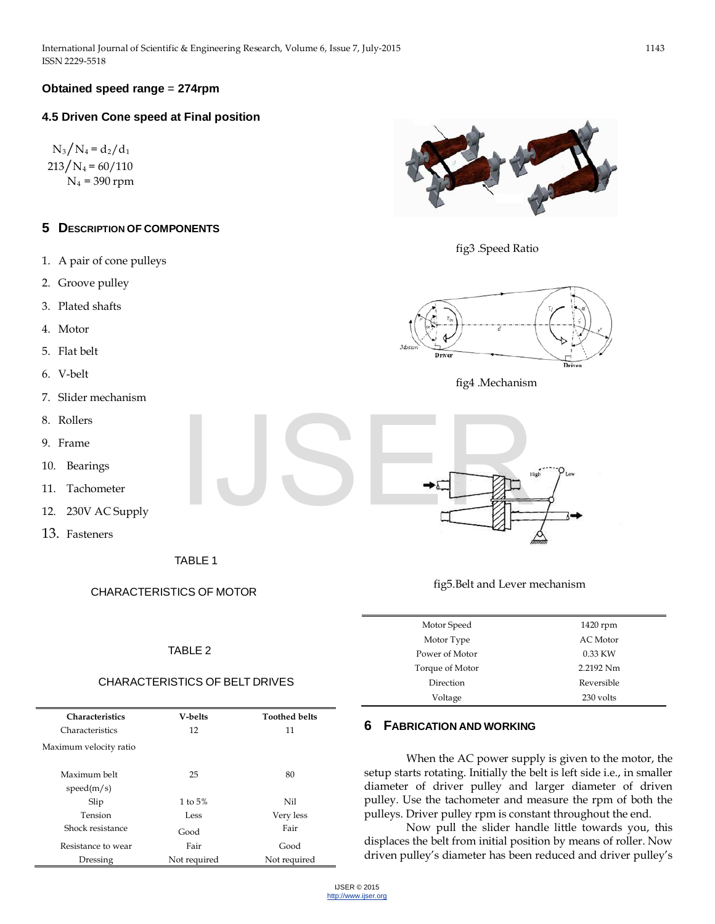## **Obtained speed range** = **274rpm**

#### **4.5 Driven Cone speed at Final position**

 $N_3/N_4 = d_2/d_1$  $213/N_4 = 60/110$  $N_4$  = 390 rpm

## **5 DESCRIPTION OF COMPONENTS**

- 1. A pair of cone pulleys
- 2. Groove pulley
- 3. Plated shafts
- 4. Motor
- 5. Flat belt
- 6. V-belt
- 7. Slider mechanism
- 8. Rollers
- 9. Frame
- 10. Bearings
- 11. Tachometer
- 12. 230V AC Supply
- 13. Fasteners

TABLE 1

#### CHARACTERISTICS OF MOTOR

#### TABLE 2

#### CHARACTERISTICS OF BELT DRIVES

| <b>Characteristics</b> | V-belts      | <b>Toothed belts</b> |
|------------------------|--------------|----------------------|
| Characteristics        | 12           | 11                   |
| Maximum velocity ratio |              |                      |
|                        |              |                      |
| Maximum belt           | 25           | 80                   |
| speed(m/s)             |              |                      |
| Slip                   | 1 to $5%$    | Nil                  |
| Tension                | Less         | Very less            |
| Shock resistance       | Good         | Fair                 |
| Resistance to wear     | Fair         | Good                 |
| Dressing               | Not required | Not required         |



fig3 .Speed Ratio



fig4 .Mechanism



fig5.Belt and Lever mechanism

| Motor Speed     | 1420 rpm        |
|-----------------|-----------------|
| Motor Type      | <b>AC</b> Motor |
| Power of Motor  | 0.33 KW         |
| Torque of Motor | 2.2192 Nm       |
| Direction       | Reversible      |
| Voltage         | 230 volts       |

#### **6 FABRICATION AND WORKING**

When the AC power supply is given to the motor, the setup starts rotating. Initially the belt is left side i.e., in smaller diameter of driver pulley and larger diameter of driven pulley. Use the tachometer and measure the rpm of both the pulleys. Driver pulley rpm is constant throughout the end.

Now pull the slider handle little towards you, this displaces the belt from initial position by means of roller. Now driven pulley's diameter has been reduced and driver pulley's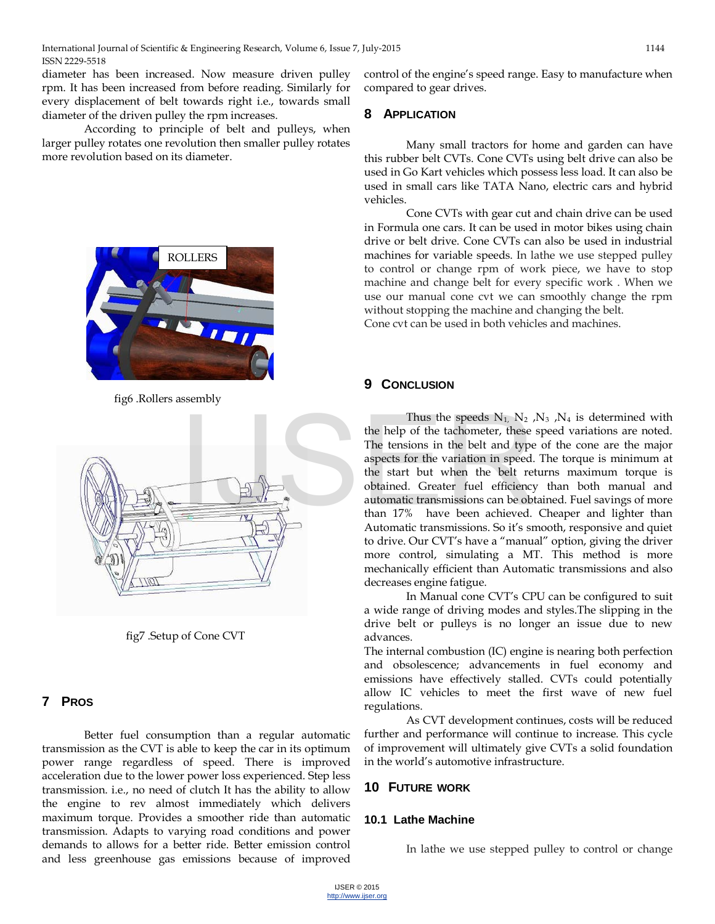diameter has been increased. Now measure driven pulley rpm. It has been increased from before reading. Similarly for every displacement of belt towards right i.e., towards small diameter of the driven pulley the rpm increases.

According to principle of belt and pulleys, when larger pulley rotates one revolution then smaller pulley rotates more revolution based on its diameter.



fig6 .Rollers assembly



fig7 .Setup of Cone CVT

## **7 PROS**

Better fuel consumption than a regular automatic transmission as the CVT is able to keep the car in its optimum power range regardless of speed. There is improved acceleration due to the lower power loss experienced. Step less transmission. i.e., no need of clutch It has the ability to allow the engine to rev almost immediately which delivers maximum torque. Provides a smoother ride than automatic transmission. Adapts to varying road conditions and power demands to allows for a better ride. Better emission control and less greenhouse gas emissions because of improved

control of the engine's speed range. Easy to manufacture when compared to gear drives.

## **8 APPLICATION**

 Many small tractors for home and garden can have this rubber belt CVTs. Cone CVTs using belt drive can also be used in Go Kart vehicles which possess less load. It can also be used in small cars like TATA Nano, electric cars and hybrid vehicles.

 Cone CVTs with gear cut and chain drive can be used in Formula one cars. It can be used in motor bikes using chain drive or belt drive. Cone CVTs can also be used in industrial machines for variable speeds. In lathe we use stepped pulley to control or change rpm of work piece, we have to stop machine and change belt for every specific work . When we use our manual cone cvt we can smoothly change the rpm without stopping the machine and changing the belt. Cone cvt can be used in both vehicles and machines.

## **9 CONCLUSION**

Thus the speeds  $N_1$ ,  $N_2$ ,  $N_3$ ,  $N_4$  is determined with the help of the tachometer, these speed variations are noted. The tensions in the belt and type of the cone are the major aspects for the variation in speed. The torque is minimum at the start but when the belt returns maximum torque is obtained. Greater fuel efficiency than both manual and automatic transmissions can be obtained. Fuel savings of more than 17% have been achieved. Cheaper and lighter than Automatic transmissions. So it's smooth, responsive and quiet to drive. Our CVT's have a "manual" option, giving the driver more control, simulating a MT. This method is more mechanically efficient than Automatic transmissions and also decreases engine fatigue.

In Manual cone CVT's CPU can be configured to suit a wide range of driving modes and styles.The slipping in the drive belt or pulleys is no longer an issue due to new advances.

The internal combustion (IC) engine is nearing both perfection and obsolescence; advancements in fuel economy and emissions have effectively stalled. CVTs could potentially allow IC vehicles to meet the first wave of new fuel regulations.

As CVT development continues, costs will be reduced further and performance will continue to increase. This cycle of improvement will ultimately give CVTs a solid foundation in the world's automotive infrastructure.

## **10 FUTURE WORK**

## **10.1 Lathe Machine**

In lathe we use stepped pulley to control or change